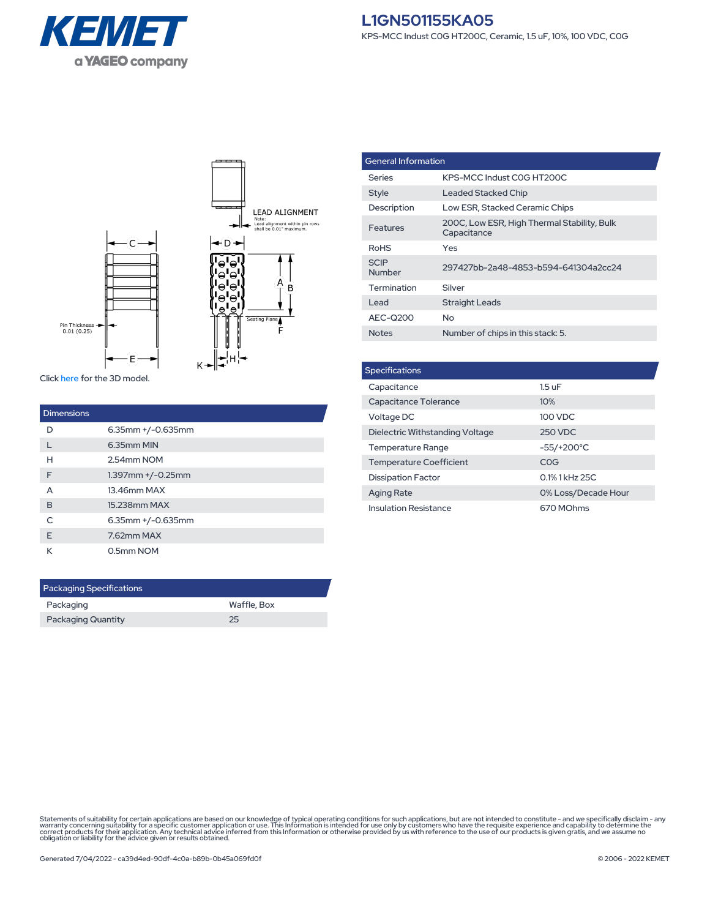



Click [here](https://connect.kemet.com:7667/gateway/IntelliData-ComponentDocumentation/1.0/download/step/L1GN501155KA05.step) for the 3D model.

| <b>Dimensions</b> |                         |
|-------------------|-------------------------|
| D                 | $6.35$ mm $+/-0.635$ mm |
|                   | 6.35mm MIN              |
| н                 | 2.54mm NOM              |
| F                 | $1.397$ mm $+/-0.25$ mm |
| A                 | 13.46mm MAX             |
| B                 | 15.238mm MAX            |
| $\subset$         | $6.35$ mm $+/-0.635$ mm |
| F                 | 7.62mm MAX              |
| К                 | 0.5mm NOM               |

| <b>Packaging Specifications</b> |             |  |  |
|---------------------------------|-------------|--|--|
| Packaging                       | Waffle, Box |  |  |
| <b>Packaging Quantity</b>       | 25          |  |  |

| <b>General Information</b> |                                                            |  |
|----------------------------|------------------------------------------------------------|--|
| Series                     | KPS-MCC Indust COG HT200C                                  |  |
| <b>Style</b>               | <b>Leaded Stacked Chip</b>                                 |  |
| Description                | Low ESR, Stacked Ceramic Chips                             |  |
| Features                   | 200C, Low ESR, High Thermal Stability, Bulk<br>Capacitance |  |
| <b>RoHS</b>                | Yes                                                        |  |
| <b>SCIP</b><br>Number      | 297427bb-2a48-4853-b594-641304a2cc24                       |  |
| Termination                | Silver                                                     |  |
| I ead                      | <b>Straight Leads</b>                                      |  |
| AEC-Q200                   | No.                                                        |  |
| <b>Notes</b>               | Number of chips in this stack: 5.                          |  |

| <b>Specifications</b>           |                     |  |  |  |
|---------------------------------|---------------------|--|--|--|
| Capacitance                     | $1.5 \text{ uF}$    |  |  |  |
| Capacitance Tolerance           | 10%                 |  |  |  |
| Voltage DC                      | 100 VDC             |  |  |  |
| Dielectric Withstanding Voltage | 250 VDC             |  |  |  |
| <b>Temperature Range</b>        | $-55/+200°C$        |  |  |  |
| <b>Temperature Coefficient</b>  | COG                 |  |  |  |
| <b>Dissipation Factor</b>       | 0.1% 1 kHz 25C      |  |  |  |
| <b>Aging Rate</b>               | 0% Loss/Decade Hour |  |  |  |
| <b>Insulation Resistance</b>    | 670 MOhms           |  |  |  |

Statements of suitability for certain applications are based on our knowledge of typical operating conditions for such applications, but are not intended to constitute - and we specifically disclaim - any<br>warranty concerni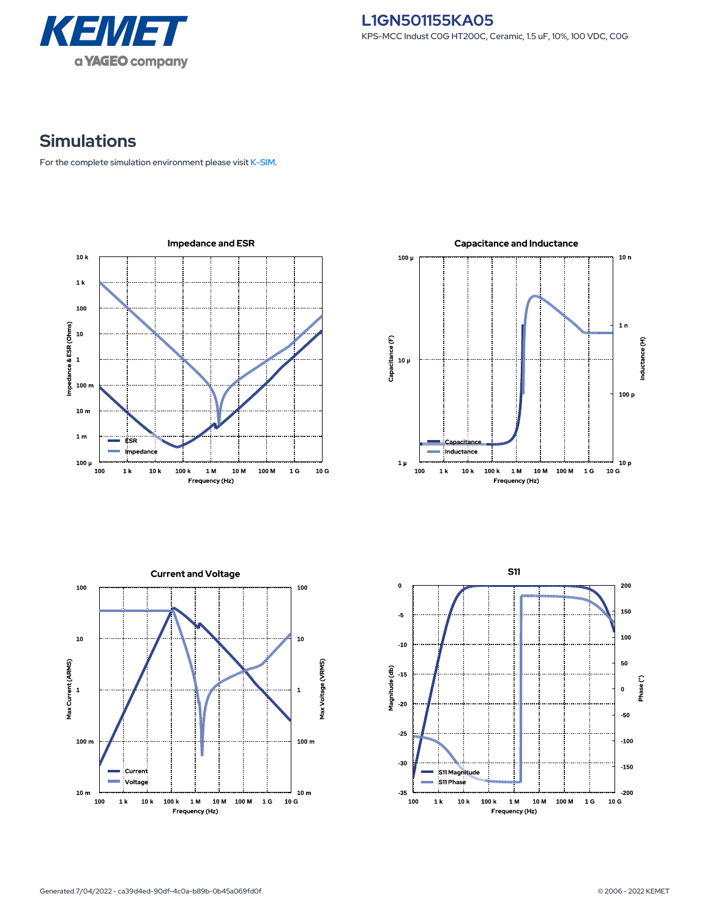

## **Simulations**

For the complete simulation environment please visit [K-SIM](https://ksim.kemet.com/?pn=L1GN501155KA05).

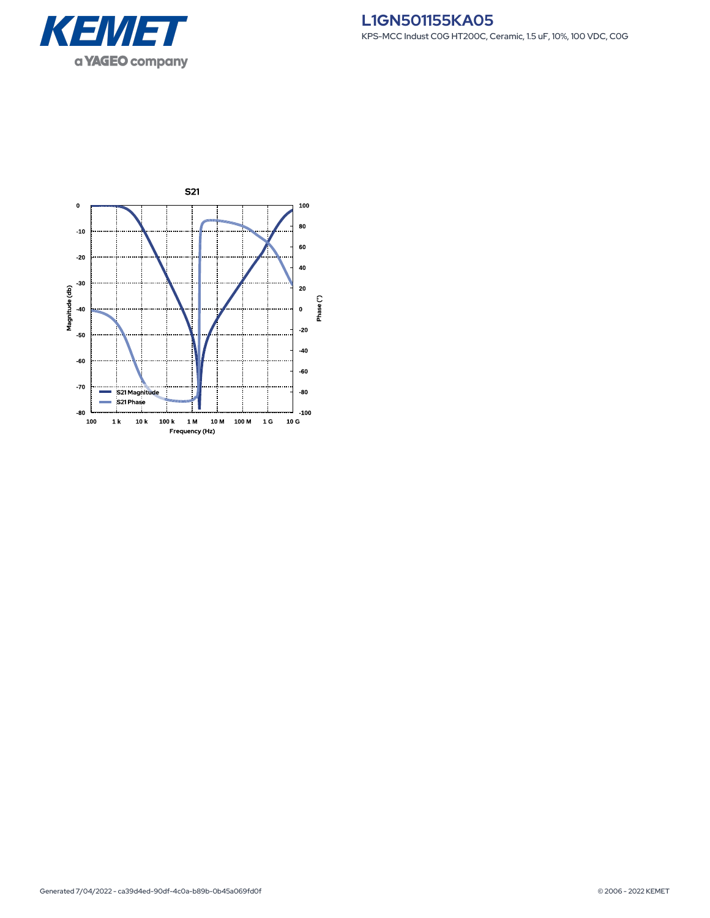